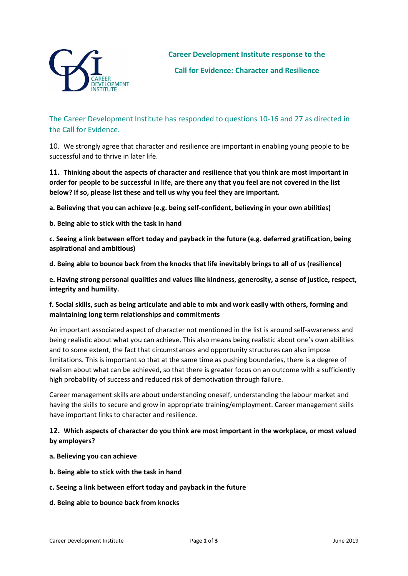

The Career Development Institute has responded to questions 10-16 and 27 as directed in the Call for Evidence.

10. We strongly agree that character and resilience are important in enabling young people to be successful and to thrive in later life.

# **11. Thinking about the aspects of character and resilience that you think are most important in order for people to be successful in life, are there any that you feel are not covered in the list below? If so, please list these and tell us why you feel they are important.**

**a. Believing that you can achieve (e.g. being self-confident, believing in your own abilities)** 

**b. Being able to stick with the task in hand** 

**c. Seeing a link between effort today and payback in the future (e.g. deferred gratification, being aspirational and ambitious)** 

**d. Being able to bounce back from the knocks that life inevitably brings to all of us (resilience)**

**e. Having strong personal qualities and values like kindness, generosity, a sense of justice, respect, integrity and humility.** 

#### **f. Social skills, such as being articulate and able to mix and work easily with others, forming and maintaining long term relationships and commitments**

An important associated aspect of character not mentioned in the list is around self-awareness and being realistic about what you can achieve. This also means being realistic about one's own abilities and to some extent, the fact that circumstances and opportunity structures can also impose limitations. This is important so that at the same time as pushing boundaries, there is a degree of realism about what can be achieved, so that there is greater focus on an outcome with a sufficiently high probability of success and reduced risk of demotivation through failure.

Career management skills are about understanding oneself, understanding the labour market and having the skills to secure and grow in appropriate training/employment. Career management skills have important links to character and resilience.

### **12. Which aspects of character do you think are most important in the workplace, or most valued by employers?**

- **a. Believing you can achieve**
- **b. Being able to stick with the task in hand**
- **c. Seeing a link between effort today and payback in the future**
- **d. Being able to bounce back from knocks**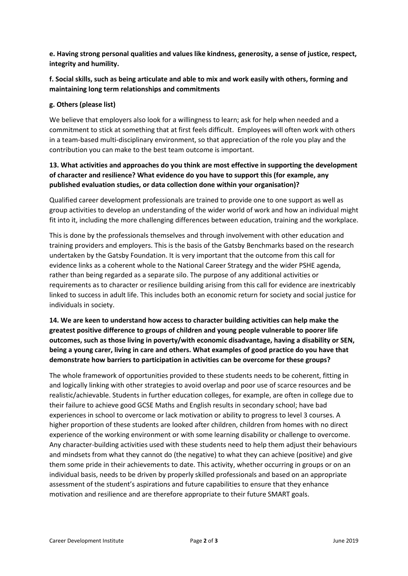**e. Having strong personal qualities and values like kindness, generosity, a sense of justice, respect, integrity and humility.** 

### **f. Social skills, such as being articulate and able to mix and work easily with others, forming and maintaining long term relationships and commitments**

#### **g. Others (please list)**

We believe that employers also look for a willingness to learn; ask for help when needed and a commitment to stick at something that at first feels difficult. Employees will often work with others in a team-based multi-disciplinary environment, so that appreciation of the role you play and the contribution you can make to the best team outcome is important.

#### **13. What activities and approaches do you think are most effective in supporting the development of character and resilience? What evidence do you have to support this (for example, any published evaluation studies, or data collection done within your organisation)?**

Qualified career development professionals are trained to provide one to one support as well as group activities to develop an understanding of the wider world of work and how an individual might fit into it, including the more challenging differences between education, training and the workplace.

This is done by the professionals themselves and through involvement with other education and training providers and employers. This is the basis of the Gatsby Benchmarks based on the research undertaken by the Gatsby Foundation. It is very important that the outcome from this call for evidence links as a coherent whole to the National Career Strategy and the wider PSHE agenda, rather than being regarded as a separate silo. The purpose of any additional activities or requirements as to character or resilience building arising from this call for evidence are inextricably linked to success in adult life. This includes both an economic return for society and social justice for individuals in society.

# **14. We are keen to understand how access to character building activities can help make the greatest positive difference to groups of children and young people vulnerable to poorer life outcomes, such as those living in poverty/with economic disadvantage, having a disability or SEN, being a young carer, living in care and others. What examples of good practice do you have that demonstrate how barriers to participation in activities can be overcome for these groups?**

The whole framework of opportunities provided to these students needs to be coherent, fitting in and logically linking with other strategies to avoid overlap and poor use of scarce resources and be realistic/achievable. Students in further education colleges, for example, are often in college due to their failure to achieve good GCSE Maths and English results in secondary school; have bad experiences in school to overcome or lack motivation or ability to progress to level 3 courses. A higher proportion of these students are looked after children, children from homes with no direct experience of the working environment or with some learning disability or challenge to overcome. Any character-building activities used with these students need to help them adjust their behaviours and mindsets from what they cannot do (the negative) to what they can achieve (positive) and give them some pride in their achievements to date. This activity, whether occurring in groups or on an individual basis, needs to be driven by properly skilled professionals and based on an appropriate assessment of the student's aspirations and future capabilities to ensure that they enhance motivation and resilience and are therefore appropriate to their future SMART goals.